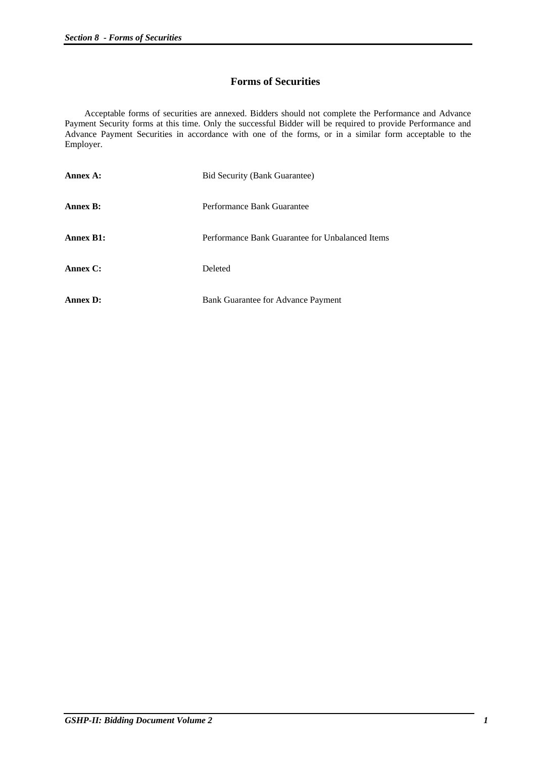#### **Forms of Securities**

 Acceptable forms of securities are annexed. Bidders should not complete the Performance and Advance Payment Security forms at this time. Only the successful Bidder will be required to provide Performance and Advance Payment Securities in accordance with one of the forms, or in a similar form acceptable to the Employer.

| Annex A:         | <b>Bid Security (Bank Guarantee)</b>            |
|------------------|-------------------------------------------------|
| <b>Annex B:</b>  | Performance Bank Guarantee                      |
| <b>Annex B1:</b> | Performance Bank Guarantee for Unbalanced Items |
| Annex C:         | Deleted                                         |
| <b>Annex D:</b>  | Bank Guarantee for Advance Payment              |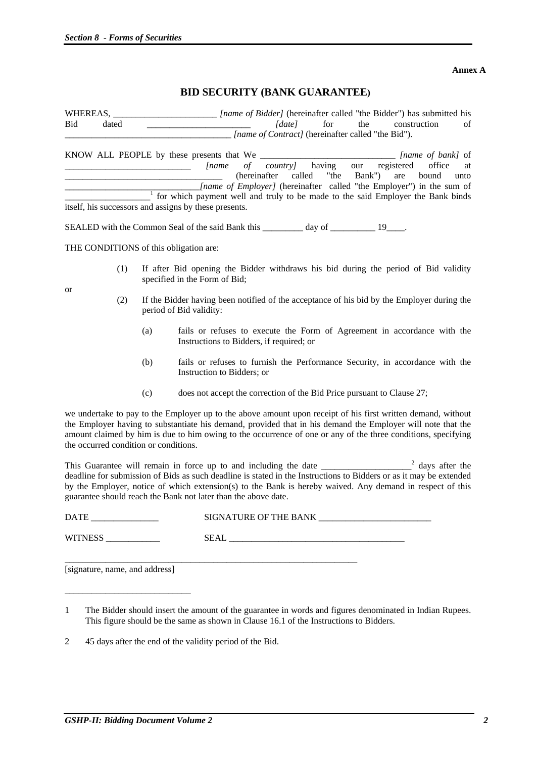**Annex A**

#### **BID SECURITY (BANK GUARANTEE)**

WHEREAS, \_\_\_\_\_\_\_\_\_\_\_\_\_\_\_\_\_\_\_\_\_\_\_\_\_\_\_*[name of Bidder]* (hereinafter called "the Bidder") has submitted his Bid dated  $\int d\alpha t e \int$  for the construction of \_\_\_\_\_\_\_\_\_\_\_\_\_\_\_\_\_\_\_\_\_\_\_\_\_\_\_\_\_\_\_\_\_\_\_\_\_ *[name of Contract]* (hereinafter called "the Bid").

KNOW ALL PEOPLE by these presents that We \_\_\_\_\_\_\_\_\_\_\_\_\_\_\_\_\_\_\_\_\_\_\_\_\_\_\_\_\_\_ *[name of bank]* of \_\_\_\_\_\_\_\_\_\_\_\_\_\_\_\_\_\_\_\_\_\_\_\_\_\_\_\_ *[name of country]* having our registered office at \_\_\_\_\_\_\_\_\_\_\_\_\_\_\_\_\_\_\_\_\_\_\_\_\_\_\_\_\_\_\_\_\_\_\_ (hereinafter called "the Bank") are bound unto \_\_\_\_\_\_\_\_\_\_\_\_\_\_\_\_\_\_\_\_\_\_\_\_\_\_\_\_\_\_*[name of Employer]* (hereinafter called "the Employer") in the sum of \_\_\_\_\_\_\_\_\_\_\_\_\_\_\_\_\_\_\_<sup>1</sup> for which payment well and truly to be made to the said Employer the Bank binds itself, his successors and assigns by these presents.

SEALED with the Common Seal of the said Bank this day of 19 quality day of the said  $\frac{19}{2}$ 

THE CONDITIONS of this obligation are:

or

- (1) If after Bid opening the Bidder withdraws his bid during the period of Bid validity specified in the Form of Bid;
- (2) If the Bidder having been notified of the acceptance of his bid by the Employer during the period of Bid validity:
	- (a) fails or refuses to execute the Form of Agreement in accordance with the Instructions to Bidders, if required; or
	- (b) fails or refuses to furnish the Performance Security, in accordance with the Instruction to Bidders; or
	- (c) does not accept the correction of the Bid Price pursuant to Clause 27;

we undertake to pay to the Employer up to the above amount upon receipt of his first written demand, without the Employer having to substantiate his demand, provided that in his demand the Employer will note that the amount claimed by him is due to him owing to the occurrence of one or any of the three conditions, specifying the occurred condition or conditions.

This Guarantee will remain in force up to and including the date \_\_\_\_\_\_\_\_\_  $\frac{2}{3}$  days after the deadline for submission of Bids as such deadline is stated in the Instructions to Bidders or as it may be extended by the Employer, notice of which extension(s) to the Bank is hereby waived. Any demand in respect of this guarantee should reach the Bank not later than the above date.

| <b>DATE</b><br>SIGNATURE OF THE BANK |  |
|--------------------------------------|--|
| <b>WITNESS</b><br><b>SEAL</b>        |  |

| [signature, name, and address] |  |
|--------------------------------|--|
|--------------------------------|--|

\_\_\_\_\_\_\_\_\_\_\_\_\_\_\_\_\_\_\_\_\_\_\_\_\_\_\_\_

2 45 days after the end of the validity period of the Bid.

<sup>1</sup> The Bidder should insert the amount of the guarantee in words and figures denominated in Indian Rupees. This figure should be the same as shown in Clause 16.1 of the Instructions to Bidders.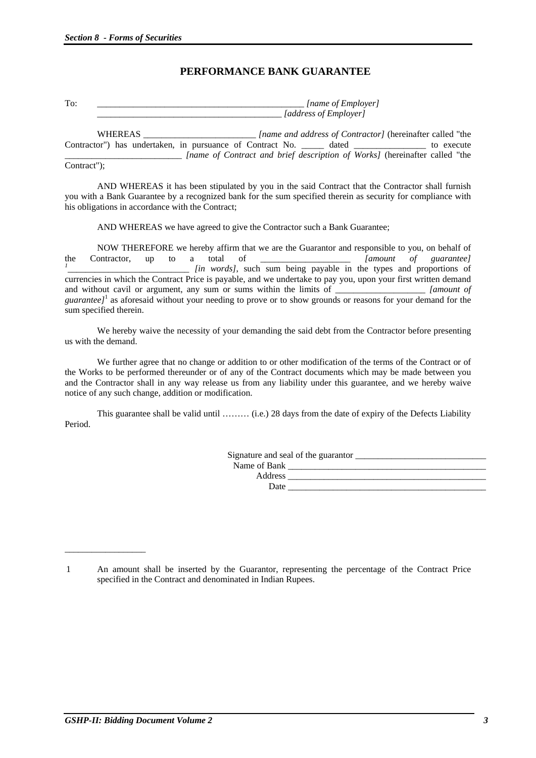# **PERFORMANCE BANK GUARANTEE**

| m | <i>Iname of Employer</i> |
|---|--------------------------|
|   | (address of Employer)    |

WHEREAS **WHEREAS** [name and address of Contractor] (hereinafter called "the Contractor") has undertaken, in pursuance of Contract No. \_\_\_\_\_\_ dated \_\_\_\_\_\_\_\_\_\_\_\_\_\_\_ to execute \_\_\_\_\_\_\_\_\_\_\_\_\_\_\_\_\_\_\_\_\_\_\_\_\_\_ *[name of Contract and brief description of Works]* (hereinafter called "the Contract");

 AND WHEREAS it has been stipulated by you in the said Contract that the Contractor shall furnish you with a Bank Guarantee by a recognized bank for the sum specified therein as security for compliance with his obligations in accordance with the Contract;

AND WHEREAS we have agreed to give the Contractor such a Bank Guarantee;

 NOW THEREFORE we hereby affirm that we are the Guarantor and responsible to you, on behalf of the Contractor, up to a total of *Immount of guarantee]*<br>*in words]*, such sum being payable in the types and proportions of currencies in which the Contract Price is payable, and we undertake to pay you, upon your first written demand and without cavil or argument, any sum or sums within the limits of \_\_\_\_\_\_\_\_\_\_\_\_\_\_\_\_\_\_\_\_\_\_\_\_\_ *[amount of* guarantee]<sup>1</sup> as aforesaid without your needing to prove or to show grounds or reasons for your demand for the sum specified therein.

We hereby waive the necessity of your demanding the said debt from the Contractor before presenting us with the demand.

We further agree that no change or addition to or other modification of the terms of the Contract or of the Works to be performed thereunder or of any of the Contract documents which may be made between you and the Contractor shall in any way release us from any liability under this guarantee, and we hereby waive notice of any such change, addition or modification.

 This guarantee shall be valid until ……… (i.e.) 28 days from the date of expiry of the Defects Liability Period.

|              | Signature and seal of the guarantor |
|--------------|-------------------------------------|
| Name of Bank |                                     |
| Address      |                                     |
| Date         |                                     |
|              |                                     |

\_\_\_\_\_\_\_\_\_\_\_\_\_\_\_\_\_\_

<sup>1</sup> An amount shall be inserted by the Guarantor, representing the percentage of the Contract Price specified in the Contract and denominated in Indian Rupees.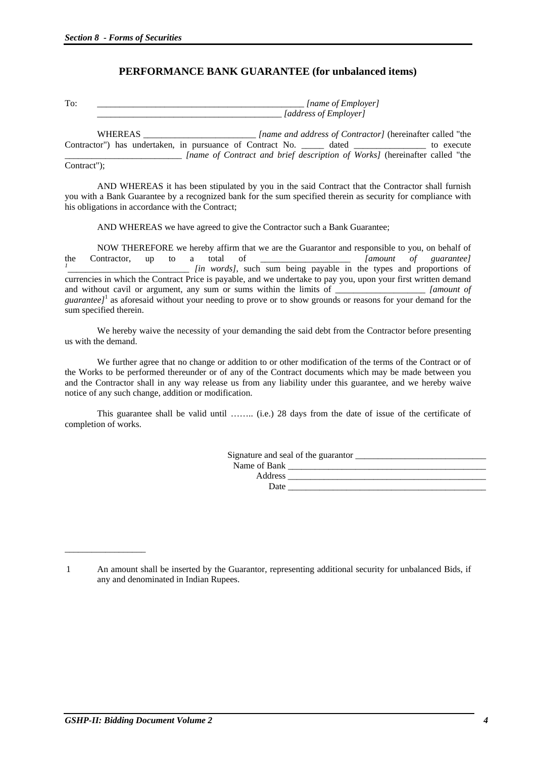## **PERFORMANCE BANK GUARANTEE (for unbalanced items)**

| œ | <i>(name of Employer)</i> |
|---|---------------------------|
|   | (address of Emplover)     |

WHEREAS **whereas** *[name and address of Contractor]* (hereinafter called "the Contractor") has undertaken, in pursuance of Contract No. \_\_\_\_\_\_ dated \_\_\_\_\_\_\_\_\_\_\_\_\_\_\_ to execute \_\_\_\_\_\_\_\_\_\_\_\_\_\_\_\_\_\_\_\_\_\_\_\_\_\_ *[name of Contract and brief description of Works]* (hereinafter called "the Contract");

 AND WHEREAS it has been stipulated by you in the said Contract that the Contractor shall furnish you with a Bank Guarantee by a recognized bank for the sum specified therein as security for compliance with his obligations in accordance with the Contract;

AND WHEREAS we have agreed to give the Contractor such a Bank Guarantee;

 NOW THEREFORE we hereby affirm that we are the Guarantor and responsible to you, on behalf of the Contractor, up to a total of *Immount of guarantee]*<br>*in words]*, such sum being payable in the types and proportions of currencies in which the Contract Price is payable, and we undertake to pay you, upon your first written demand and without cavil or argument, any sum or sums within the limits of \_\_\_\_\_\_\_\_\_\_\_\_\_\_\_\_\_\_\_\_\_\_\_\_\_\_ *[amount of* guarantee]<sup>1</sup> as aforesaid without your needing to prove or to show grounds or reasons for your demand for the sum specified therein.

We hereby waive the necessity of your demanding the said debt from the Contractor before presenting us with the demand.

We further agree that no change or addition to or other modification of the terms of the Contract or of the Works to be performed thereunder or of any of the Contract documents which may be made between you and the Contractor shall in any way release us from any liability under this guarantee, and we hereby waive notice of any such change, addition or modification.

 This guarantee shall be valid until …….. (i.e.) 28 days from the date of issue of the certificate of completion of works.

|              | Signature and seal of the guarantor |
|--------------|-------------------------------------|
| Name of Bank |                                     |
| Address      |                                     |
| Date         |                                     |
|              |                                     |

\_\_\_\_\_\_\_\_\_\_\_\_\_\_\_\_\_\_

<sup>1</sup> An amount shall be inserted by the Guarantor, representing additional security for unbalanced Bids, if any and denominated in Indian Rupees.